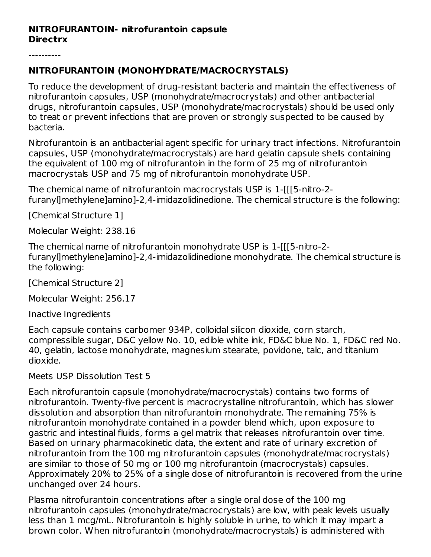#### **NITROFURANTOIN- nitrofurantoin capsule Directrx**

----------

## **NITROFURANTOIN (MONOHYDRATE/MACROCRYSTALS)**

To reduce the development of drug-resistant bacteria and maintain the effectiveness of nitrofurantoin capsules, USP (monohydrate/macrocrystals) and other antibacterial drugs, nitrofurantoin capsules, USP (monohydrate/macrocrystals) should be used only to treat or prevent infections that are proven or strongly suspected to be caused by bacteria.

Nitrofurantoin is an antibacterial agent specific for urinary tract infections. Nitrofurantoin capsules, USP (monohydrate/macrocrystals) are hard gelatin capsule shells containing the equivalent of 100 mg of nitrofurantoin in the form of 25 mg of nitrofurantoin macrocrystals USP and 75 mg of nitrofurantoin monohydrate USP.

The chemical name of nitrofurantoin macrocrystals USP is 1-[[[5-nitro-2 furanyl]methylene]amino]-2,4-imidazolidinedione. The chemical structure is the following:

[Chemical Structure 1]

Molecular Weight: 238.16

The chemical name of nitrofurantoin monohydrate USP is 1-[[[5-nitro-2 furanyl]methylene]amino]-2,4-imidazolidinedione monohydrate. The chemical structure is the following:

[Chemical Structure 2]

Molecular Weight: 256.17

Inactive Ingredients

Each capsule contains carbomer 934P, colloidal silicon dioxide, corn starch, compressible sugar, D&C yellow No. 10, edible white ink, FD&C blue No. 1, FD&C red No. 40, gelatin, lactose monohydrate, magnesium stearate, povidone, talc, and titanium dioxide.

Meets USP Dissolution Test 5

Each nitrofurantoin capsule (monohydrate/macrocrystals) contains two forms of nitrofurantoin. Twenty-five percent is macrocrystalline nitrofurantoin, which has slower dissolution and absorption than nitrofurantoin monohydrate. The remaining 75% is nitrofurantoin monohydrate contained in a powder blend which, upon exposure to gastric and intestinal fluids, forms a gel matrix that releases nitrofurantoin over time. Based on urinary pharmacokinetic data, the extent and rate of urinary excretion of nitrofurantoin from the 100 mg nitrofurantoin capsules (monohydrate/macrocrystals) are similar to those of 50 mg or 100 mg nitrofurantoin (macrocrystals) capsules. Approximately 20% to 25% of a single dose of nitrofurantoin is recovered from the urine unchanged over 24 hours.

Plasma nitrofurantoin concentrations after a single oral dose of the 100 mg nitrofurantoin capsules (monohydrate/macrocrystals) are low, with peak levels usually less than 1 mcg/mL. Nitrofurantoin is highly soluble in urine, to which it may impart a brown color. When nitrofurantoin (monohydrate/macrocrystals) is administered with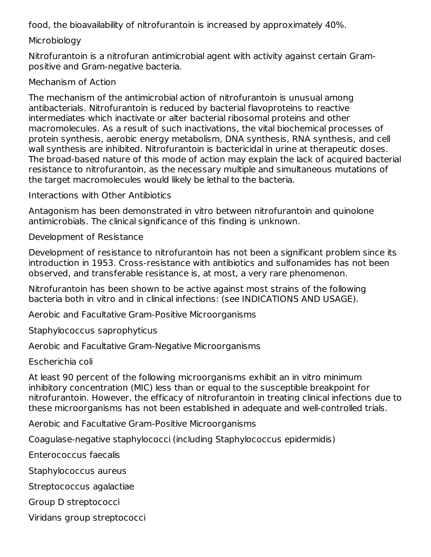food, the bioavailability of nitrofurantoin is increased by approximately 40%.

# Microbiology

Nitrofurantoin is a nitrofuran antimicrobial agent with activity against certain Grampositive and Gram-negative bacteria.

## Mechanism of Action

The mechanism of the antimicrobial action of nitrofurantoin is unusual among antibacterials. Nitrofurantoin is reduced by bacterial flavoproteins to reactive intermediates which inactivate or alter bacterial ribosomal proteins and other macromolecules. As a result of such inactivations, the vital biochemical processes of protein synthesis, aerobic energy metabolism, DNA synthesis, RNA synthesis, and cell wall synthesis are inhibited. Nitrofurantoin is bactericidal in urine at therapeutic doses. The broad-based nature of this mode of action may explain the lack of acquired bacterial resistance to nitrofurantoin, as the necessary multiple and simultaneous mutations of the target macromolecules would likely be lethal to the bacteria.

Interactions with Other Antibiotics

Antagonism has been demonstrated in vitro between nitrofurantoin and quinolone antimicrobials. The clinical significance of this finding is unknown.

Development of Resistance

Development of resistance to nitrofurantoin has not been a significant problem since its introduction in 1953. Cross-resistance with antibiotics and sulfonamides has not been observed, and transferable resistance is, at most, a very rare phenomenon.

Nitrofurantoin has been shown to be active against most strains of the following bacteria both in vitro and in clinical infections: (see INDICATIONS AND USAGE).

Aerobic and Facultative Gram-Positive Microorganisms

Staphylococcus saprophyticus

Aerobic and Facultative Gram-Negative Microorganisms

Escherichia coli

At least 90 percent of the following microorganisms exhibit an in vitro minimum inhibitory concentration (MIC) less than or equal to the susceptible breakpoint for nitrofurantoin. However, the efficacy of nitrofurantoin in treating clinical infections due to these microorganisms has not been established in adequate and well-controlled trials.

Aerobic and Facultative Gram-Positive Microorganisms

Coagulase-negative staphylococci (including Staphylococcus epidermidis)

Enterococcus faecalis

Staphylococcus aureus

Streptococcus agalactiae

Group D streptococci

Viridans group streptococci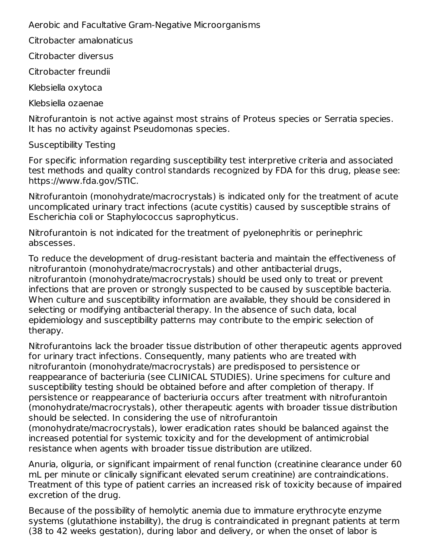Aerobic and Facultative Gram-Negative Microorganisms

Citrobacter amalonaticus

Citrobacter diversus

Citrobacter freundii

Klebsiella oxytoca

Klebsiella ozaenae

Nitrofurantoin is not active against most strains of Proteus species or Serratia species. It has no activity against Pseudomonas species.

Susceptibility Testing

For specific information regarding susceptibility test interpretive criteria and associated test methods and quality control standards recognized by FDA for this drug, please see: https://www.fda.gov/STIC.

Nitrofurantoin (monohydrate/macrocrystals) is indicated only for the treatment of acute uncomplicated urinary tract infections (acute cystitis) caused by susceptible strains of Escherichia coli or Staphylococcus saprophyticus.

Nitrofurantoin is not indicated for the treatment of pyelonephritis or perinephric abscesses.

To reduce the development of drug-resistant bacteria and maintain the effectiveness of nitrofurantoin (monohydrate/macrocrystals) and other antibacterial drugs, nitrofurantoin (monohydrate/macrocrystals) should be used only to treat or prevent infections that are proven or strongly suspected to be caused by susceptible bacteria. When culture and susceptibility information are available, they should be considered in selecting or modifying antibacterial therapy. In the absence of such data, local epidemiology and susceptibility patterns may contribute to the empiric selection of therapy.

Nitrofurantoins lack the broader tissue distribution of other therapeutic agents approved for urinary tract infections. Consequently, many patients who are treated with nitrofurantoin (monohydrate/macrocrystals) are predisposed to persistence or reappearance of bacteriuria (see CLINICAL STUDIES). Urine specimens for culture and susceptibility testing should be obtained before and after completion of therapy. If persistence or reappearance of bacteriuria occurs after treatment with nitrofurantoin (monohydrate/macrocrystals), other therapeutic agents with broader tissue distribution should be selected. In considering the use of nitrofurantoin (monohydrate/macrocrystals), lower eradication rates should be balanced against the increased potential for systemic toxicity and for the development of antimicrobial resistance when agents with broader tissue distribution are utilized.

Anuria, oliguria, or significant impairment of renal function (creatinine clearance under 60 mL per minute or clinically significant elevated serum creatinine) are contraindications. Treatment of this type of patient carries an increased risk of toxicity because of impaired excretion of the drug.

Because of the possibility of hemolytic anemia due to immature erythrocyte enzyme systems (glutathione instability), the drug is contraindicated in pregnant patients at term (38 to 42 weeks gestation), during labor and delivery, or when the onset of labor is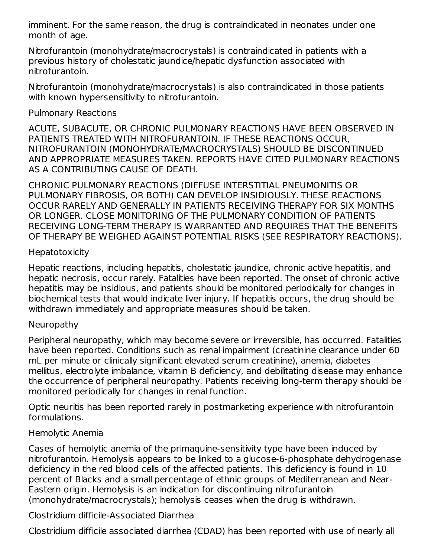imminent. For the same reason, the drug is contraindicated in neonates under one month of age.

Nitrofurantoin (monohydrate/macrocrystals) is contraindicated in patients with a previous history of cholestatic jaundice/hepatic dysfunction associated with nitrofurantoin.

Nitrofurantoin (monohydrate/macrocrystals) is also contraindicated in those patients with known hypersensitivity to nitrofurantoin.

#### Pulmonary Reactions

ACUTE, SUBACUTE, OR CHRONIC PULMONARY REACTIONS HAVE BEEN OBSERVED IN PATIENTS TREATED WITH NITROFURANTOIN. IF THESE REACTIONS OCCUR, NITROFURANTOIN (MONOHYDRATE/MACROCRYSTALS) SHOULD BE DISCONTINUED AND APPROPRIATE MEASURES TAKEN. REPORTS HAVE CITED PULMONARY REACTIONS AS A CONTRIBUTING CAUSE OF DEATH.

CHRONIC PULMONARY REACTIONS (DIFFUSE INTERSTITIAL PNEUMONITIS OR PULMONARY FIBROSIS, OR BOTH) CAN DEVELOP INSIDIOUSLY. THESE REACTIONS OCCUR RARELY AND GENERALLY IN PATIENTS RECEIVING THERAPY FOR SIX MONTHS OR LONGER. CLOSE MONITORING OF THE PULMONARY CONDITION OF PATIENTS RECEIVING LONG-TERM THERAPY IS WARRANTED AND REQUIRES THAT THE BENEFITS OF THERAPY BE WEIGHED AGAINST POTENTIAL RISKS (SEE RESPIRATORY REACTIONS).

#### **Hepatotoxicity**

Hepatic reactions, including hepatitis, cholestatic jaundice, chronic active hepatitis, and hepatic necrosis, occur rarely. Fatalities have been reported. The onset of chronic active hepatitis may be insidious, and patients should be monitored periodically for changes in biochemical tests that would indicate liver injury. If hepatitis occurs, the drug should be withdrawn immediately and appropriate measures should be taken.

#### Neuropathy

Peripheral neuropathy, which may become severe or irreversible, has occurred. Fatalities have been reported. Conditions such as renal impairment (creatinine clearance under 60 mL per minute or clinically significant elevated serum creatinine), anemia, diabetes mellitus, electrolyte imbalance, vitamin B deficiency, and debilitating disease may enhance the occurrence of peripheral neuropathy. Patients receiving long-term therapy should be monitored periodically for changes in renal function.

Optic neuritis has been reported rarely in postmarketing experience with nitrofurantoin formulations.

## Hemolytic Anemia

Cases of hemolytic anemia of the primaquine-sensitivity type have been induced by nitrofurantoin. Hemolysis appears to be linked to a glucose-6-phosphate dehydrogenase deficiency in the red blood cells of the affected patients. This deficiency is found in 10 percent of Blacks and a small percentage of ethnic groups of Mediterranean and Near-Eastern origin. Hemolysis is an indication for discontinuing nitrofurantoin (monohydrate/macrocrystals); hemolysis ceases when the drug is withdrawn.

Clostridium difficile-Associated Diarrhea

Clostridium difficile associated diarrhea (CDAD) has been reported with use of nearly all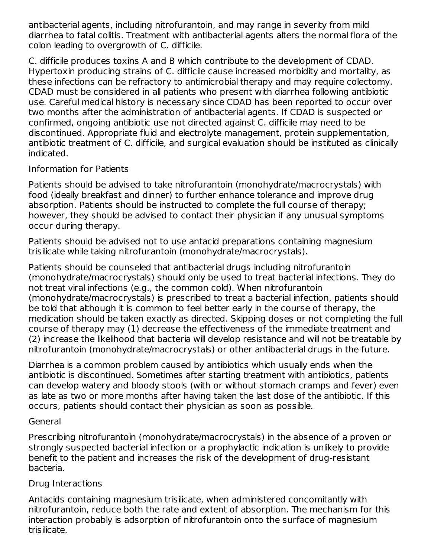antibacterial agents, including nitrofurantoin, and may range in severity from mild diarrhea to fatal colitis. Treatment with antibacterial agents alters the normal flora of the colon leading to overgrowth of C. difficile.

C. difficile produces toxins A and B which contribute to the development of CDAD. Hypertoxin producing strains of C. difficile cause increased morbidity and mortality, as these infections can be refractory to antimicrobial therapy and may require colectomy. CDAD must be considered in all patients who present with diarrhea following antibiotic use. Careful medical history is necessary since CDAD has been reported to occur over two months after the administration of antibacterial agents. If CDAD is suspected or confirmed, ongoing antibiotic use not directed against C. difficile may need to be discontinued. Appropriate fluid and electrolyte management, protein supplementation, antibiotic treatment of C. difficile, and surgical evaluation should be instituted as clinically indicated.

## Information for Patients

Patients should be advised to take nitrofurantoin (monohydrate/macrocrystals) with food (ideally breakfast and dinner) to further enhance tolerance and improve drug absorption. Patients should be instructed to complete the full course of therapy; however, they should be advised to contact their physician if any unusual symptoms occur during therapy.

Patients should be advised not to use antacid preparations containing magnesium trisilicate while taking nitrofurantoin (monohydrate/macrocrystals).

Patients should be counseled that antibacterial drugs including nitrofurantoin (monohydrate/macrocrystals) should only be used to treat bacterial infections. They do not treat viral infections (e.g., the common cold). When nitrofurantoin (monohydrate/macrocrystals) is prescribed to treat a bacterial infection, patients should be told that although it is common to feel better early in the course of therapy, the medication should be taken exactly as directed. Skipping doses or not completing the full course of therapy may (1) decrease the effectiveness of the immediate treatment and (2) increase the likelihood that bacteria will develop resistance and will not be treatable by nitrofurantoin (monohydrate/macrocrystals) or other antibacterial drugs in the future.

Diarrhea is a common problem caused by antibiotics which usually ends when the antibiotic is discontinued. Sometimes after starting treatment with antibiotics, patients can develop watery and bloody stools (with or without stomach cramps and fever) even as late as two or more months after having taken the last dose of the antibiotic. If this occurs, patients should contact their physician as soon as possible.

## General

Prescribing nitrofurantoin (monohydrate/macrocrystals) in the absence of a proven or strongly suspected bacterial infection or a prophylactic indication is unlikely to provide benefit to the patient and increases the risk of the development of drug-resistant bacteria.

# Drug Interactions

Antacids containing magnesium trisilicate, when administered concomitantly with nitrofurantoin, reduce both the rate and extent of absorption. The mechanism for this interaction probably is adsorption of nitrofurantoin onto the surface of magnesium trisilicate.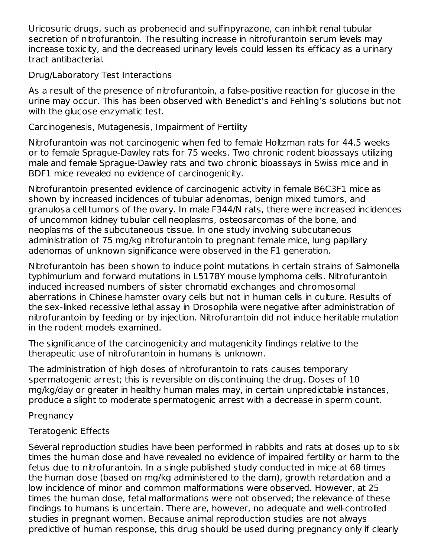Uricosuric drugs, such as probenecid and sulfinpyrazone, can inhibit renal tubular secretion of nitrofurantoin. The resulting increase in nitrofurantoin serum levels may increase toxicity, and the decreased urinary levels could lessen its efficacy as a urinary tract antibacterial.

Drug/Laboratory Test Interactions

As a result of the presence of nitrofurantoin, a false-positive reaction for glucose in the urine may occur. This has been observed with Benedict's and Fehling's solutions but not with the glucose enzymatic test.

Carcinogenesis, Mutagenesis, Impairment of Fertility

Nitrofurantoin was not carcinogenic when fed to female Holtzman rats for 44.5 weeks or to female Sprague-Dawley rats for 75 weeks. Two chronic rodent bioassays utilizing male and female Sprague-Dawley rats and two chronic bioassays in Swiss mice and in BDF1 mice revealed no evidence of carcinogenicity.

Nitrofurantoin presented evidence of carcinogenic activity in female B6C3F1 mice as shown by increased incidences of tubular adenomas, benign mixed tumors, and granulosa cell tumors of the ovary. In male F344/N rats, there were increased incidences of uncommon kidney tubular cell neoplasms, osteosarcomas of the bone, and neoplasms of the subcutaneous tissue. In one study involving subcutaneous administration of 75 mg/kg nitrofurantoin to pregnant female mice, lung papillary adenomas of unknown significance were observed in the F1 generation.

Nitrofurantoin has been shown to induce point mutations in certain strains of Salmonella typhimurium and forward mutations in L5178Y mouse lymphoma cells. Nitrofurantoin induced increased numbers of sister chromatid exchanges and chromosomal aberrations in Chinese hamster ovary cells but not in human cells in culture. Results of the sex-linked recessive lethal assay in Drosophila were negative after administration of nitrofurantoin by feeding or by injection. Nitrofurantoin did not induce heritable mutation in the rodent models examined.

The significance of the carcinogenicity and mutagenicity findings relative to the therapeutic use of nitrofurantoin in humans is unknown.

The administration of high doses of nitrofurantoin to rats causes temporary spermatogenic arrest; this is reversible on discontinuing the drug. Doses of 10 mg/kg/day or greater in healthy human males may, in certain unpredictable instances, produce a slight to moderate spermatogenic arrest with a decrease in sperm count.

**Pregnancy** 

## Teratogenic Effects

Several reproduction studies have been performed in rabbits and rats at doses up to six times the human dose and have revealed no evidence of impaired fertility or harm to the fetus due to nitrofurantoin. In a single published study conducted in mice at 68 times the human dose (based on mg/kg administered to the dam), growth retardation and a low incidence of minor and common malformations were observed. However, at 25 times the human dose, fetal malformations were not observed; the relevance of these findings to humans is uncertain. There are, however, no adequate and well-controlled studies in pregnant women. Because animal reproduction studies are not always predictive of human response, this drug should be used during pregnancy only if clearly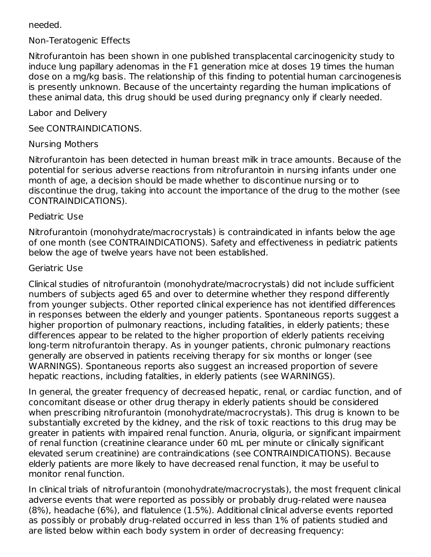needed.

Non-Teratogenic Effects

Nitrofurantoin has been shown in one published transplacental carcinogenicity study to induce lung papillary adenomas in the F1 generation mice at doses 19 times the human dose on a mg/kg basis. The relationship of this finding to potential human carcinogenesis is presently unknown. Because of the uncertainty regarding the human implications of these animal data, this drug should be used during pregnancy only if clearly needed.

Labor and Delivery

See CONTRAINDICATIONS.

#### Nursing Mothers

Nitrofurantoin has been detected in human breast milk in trace amounts. Because of the potential for serious adverse reactions from nitrofurantoin in nursing infants under one month of age, a decision should be made whether to discontinue nursing or to discontinue the drug, taking into account the importance of the drug to the mother (see CONTRAINDICATIONS).

#### Pediatric Use

Nitrofurantoin (monohydrate/macrocrystals) is contraindicated in infants below the age of one month (see CONTRAINDICATIONS). Safety and effectiveness in pediatric patients below the age of twelve years have not been established.

#### Geriatric Use

Clinical studies of nitrofurantoin (monohydrate/macrocrystals) did not include sufficient numbers of subjects aged 65 and over to determine whether they respond differently from younger subjects. Other reported clinical experience has not identified differences in responses between the elderly and younger patients. Spontaneous reports suggest a higher proportion of pulmonary reactions, including fatalities, in elderly patients; these differences appear to be related to the higher proportion of elderly patients receiving long-term nitrofurantoin therapy. As in younger patients, chronic pulmonary reactions generally are observed in patients receiving therapy for six months or longer (see WARNINGS). Spontaneous reports also suggest an increased proportion of severe hepatic reactions, including fatalities, in elderly patients (see WARNINGS).

In general, the greater frequency of decreased hepatic, renal, or cardiac function, and of concomitant disease or other drug therapy in elderly patients should be considered when prescribing nitrofurantoin (monohydrate/macrocrystals). This drug is known to be substantially excreted by the kidney, and the risk of toxic reactions to this drug may be greater in patients with impaired renal function. Anuria, oliguria, or significant impairment of renal function (creatinine clearance under 60 mL per minute or clinically significant elevated serum creatinine) are contraindications (see CONTRAINDICATIONS). Because elderly patients are more likely to have decreased renal function, it may be useful to monitor renal function.

In clinical trials of nitrofurantoin (monohydrate/macrocrystals), the most frequent clinical adverse events that were reported as possibly or probably drug-related were nausea (8%), headache (6%), and flatulence (1.5%). Additional clinical adverse events reported as possibly or probably drug-related occurred in less than 1% of patients studied and are listed below within each body system in order of decreasing frequency: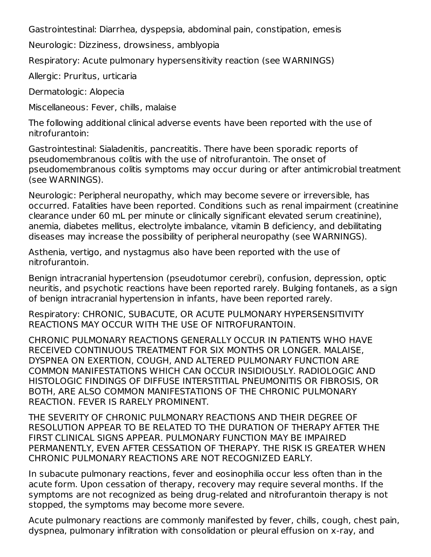Gastrointestinal: Diarrhea, dyspepsia, abdominal pain, constipation, emesis

Neurologic: Dizziness, drowsiness, amblyopia

Respiratory: Acute pulmonary hypersensitivity reaction (see WARNINGS)

Allergic: Pruritus, urticaria

Dermatologic: Alopecia

Miscellaneous: Fever, chills, malaise

The following additional clinical adverse events have been reported with the use of nitrofurantoin:

Gastrointestinal: Sialadenitis, pancreatitis. There have been sporadic reports of pseudomembranous colitis with the use of nitrofurantoin. The onset of pseudomembranous colitis symptoms may occur during or after antimicrobial treatment (see WARNINGS).

Neurologic: Peripheral neuropathy, which may become severe or irreversible, has occurred. Fatalities have been reported. Conditions such as renal impairment (creatinine clearance under 60 mL per minute or clinically significant elevated serum creatinine), anemia, diabetes mellitus, electrolyte imbalance, vitamin B deficiency, and debilitating diseases may increase the possibility of peripheral neuropathy (see WARNINGS).

Asthenia, vertigo, and nystagmus also have been reported with the use of nitrofurantoin.

Benign intracranial hypertension (pseudotumor cerebri), confusion, depression, optic neuritis, and psychotic reactions have been reported rarely. Bulging fontanels, as a sign of benign intracranial hypertension in infants, have been reported rarely.

Respiratory: CHRONIC, SUBACUTE, OR ACUTE PULMONARY HYPERSENSITIVITY REACTIONS MAY OCCUR WITH THE USE OF NITROFURANTOIN.

CHRONIC PULMONARY REACTIONS GENERALLY OCCUR IN PATIENTS WHO HAVE RECEIVED CONTINUOUS TREATMENT FOR SIX MONTHS OR LONGER. MALAISE, DYSPNEA ON EXERTION, COUGH, AND ALTERED PULMONARY FUNCTION ARE COMMON MANIFESTATIONS WHICH CAN OCCUR INSIDIOUSLY. RADIOLOGIC AND HISTOLOGIC FINDINGS OF DIFFUSE INTERSTITIAL PNEUMONITIS OR FIBROSIS, OR BOTH, ARE ALSO COMMON MANIFESTATIONS OF THE CHRONIC PULMONARY REACTION. FEVER IS RARELY PROMINENT.

THE SEVERITY OF CHRONIC PULMONARY REACTIONS AND THEIR DEGREE OF RESOLUTION APPEAR TO BE RELATED TO THE DURATION OF THERAPY AFTER THE FIRST CLINICAL SIGNS APPEAR. PULMONARY FUNCTION MAY BE IMPAIRED PERMANENTLY, EVEN AFTER CESSATION OF THERAPY. THE RISK IS GREATER WHEN CHRONIC PULMONARY REACTIONS ARE NOT RECOGNIZED EARLY.

In subacute pulmonary reactions, fever and eosinophilia occur less often than in the acute form. Upon cessation of therapy, recovery may require several months. If the symptoms are not recognized as being drug-related and nitrofurantoin therapy is not stopped, the symptoms may become more severe.

Acute pulmonary reactions are commonly manifested by fever, chills, cough, chest pain, dyspnea, pulmonary infiltration with consolidation or pleural effusion on x-ray, and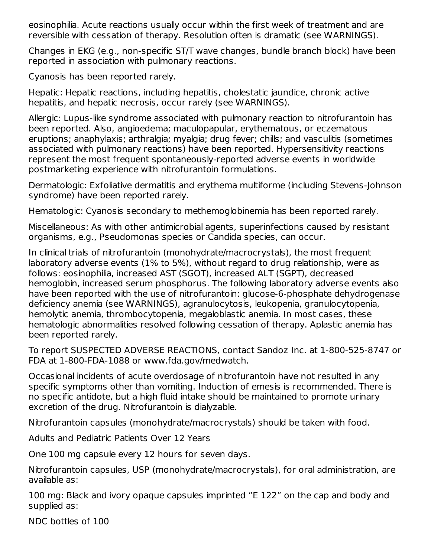eosinophilia. Acute reactions usually occur within the first week of treatment and are reversible with cessation of therapy. Resolution often is dramatic (see WARNINGS).

Changes in EKG (e.g., non-specific ST/T wave changes, bundle branch block) have been reported in association with pulmonary reactions.

Cyanosis has been reported rarely.

Hepatic: Hepatic reactions, including hepatitis, cholestatic jaundice, chronic active hepatitis, and hepatic necrosis, occur rarely (see WARNINGS).

Allergic: Lupus-like syndrome associated with pulmonary reaction to nitrofurantoin has been reported. Also, angioedema; maculopapular, erythematous, or eczematous eruptions; anaphylaxis; arthralgia; myalgia; drug fever; chills; and vasculitis (sometimes associated with pulmonary reactions) have been reported. Hypersensitivity reactions represent the most frequent spontaneously-reported adverse events in worldwide postmarketing experience with nitrofurantoin formulations.

Dermatologic: Exfoliative dermatitis and erythema multiforme (including Stevens-Johnson syndrome) have been reported rarely.

Hematologic: Cyanosis secondary to methemoglobinemia has been reported rarely.

Miscellaneous: As with other antimicrobial agents, superinfections caused by resistant organisms, e.g., Pseudomonas species or Candida species, can occur.

In clinical trials of nitrofurantoin (monohydrate/macrocrystals), the most frequent laboratory adverse events (1% to 5%), without regard to drug relationship, were as follows: eosinophilia, increased AST (SGOT), increased ALT (SGPT), decreased hemoglobin, increased serum phosphorus. The following laboratory adverse events also have been reported with the use of nitrofurantoin: glucose-6-phosphate dehydrogenase deficiency anemia (see WARNINGS), agranulocytosis, leukopenia, granulocytopenia, hemolytic anemia, thrombocytopenia, megaloblastic anemia. In most cases, these hematologic abnormalities resolved following cessation of therapy. Aplastic anemia has been reported rarely.

To report SUSPECTED ADVERSE REACTIONS, contact Sandoz Inc. at 1-800-525-8747 or FDA at 1-800-FDA-1088 or www.fda.gov/medwatch.

Occasional incidents of acute overdosage of nitrofurantoin have not resulted in any specific symptoms other than vomiting. Induction of emesis is recommended. There is no specific antidote, but a high fluid intake should be maintained to promote urinary excretion of the drug. Nitrofurantoin is dialyzable.

Nitrofurantoin capsules (monohydrate/macrocrystals) should be taken with food.

Adults and Pediatric Patients Over 12 Years

One 100 mg capsule every 12 hours for seven days.

Nitrofurantoin capsules, USP (monohydrate/macrocrystals), for oral administration, are available as:

100 mg: Black and ivory opaque capsules imprinted "E 122" on the cap and body and supplied as:

NDC bottles of 100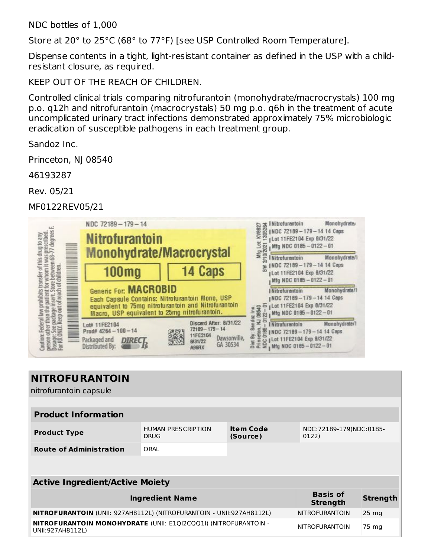NDC bottles of 1,000

Store at 20° to 25°C (68° to 77°F) [see USP Controlled Room Temperature].

Dispense contents in a tight, light-resistant container as defined in the USP with a childresistant closure, as required.

KEEP OUT OF THE REACH OF CHILDREN.

Controlled clinical trials comparing nitrofurantoin (monohydrate/macrocrystals) 100 mg p.o. q12h and nitrofurantoin (macrocrystals) 50 mg p.o. q6h in the treatment of acute uncomplicated urinary tract infections demonstrated approximately 75% microbiologic eradication of susceptible pathogens in each treatment group.

Sandoz Inc.

Princeton, NJ 08540

46193287

Rev. 05/21

MF0122REV05/21



| <b>NITROFURANTOIN</b>                                                               |                                          |                              |                                  |  |  |  |  |
|-------------------------------------------------------------------------------------|------------------------------------------|------------------------------|----------------------------------|--|--|--|--|
| nitrofurantoin capsule                                                              |                                          |                              |                                  |  |  |  |  |
|                                                                                     |                                          |                              |                                  |  |  |  |  |
| <b>Product Information</b>                                                          |                                          |                              |                                  |  |  |  |  |
| <b>Product Type</b>                                                                 | <b>HUMAN PRESCRIPTION</b><br><b>DRUG</b> | <b>Item Code</b><br>(Source) | NDC:72189-179(NDC:0185-<br>0122) |  |  |  |  |
| <b>Route of Administration</b>                                                      | ORAL                                     |                              |                                  |  |  |  |  |
|                                                                                     |                                          |                              |                                  |  |  |  |  |
| <b>Active Ingredient/Active Moiety</b>                                              |                                          |                              |                                  |  |  |  |  |
| <b>Ingredient Name</b>                                                              | <b>Basis of</b><br>Strength              | <b>Strength</b>              |                                  |  |  |  |  |
| <b>NITROFURANTOIN</b> (UNII: 927AH8112L) (NITROFURANTOIN - UNII:927AH8112L)         | <b>NITROFURANTOIN</b>                    | 25 mg                        |                                  |  |  |  |  |
| NITROFURANTOIN MONOHYDRATE (UNII: E1QI2CQQ1I) (NITROFURANTOIN -<br>UNII:927AH8112L) | <b>NITROFURANTOIN</b>                    | 75 mg                        |                                  |  |  |  |  |